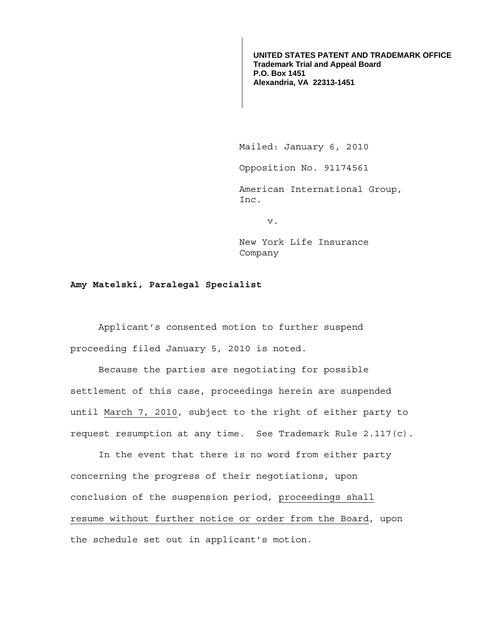**UNITED STATES PATENT AND TRADEMARK OFFICE Trademark Trial and Appeal Board P.O. Box 1451 Alexandria, VA 22313-1451**

Mailed: January 6, 2010

Opposition No. 91174561

 American International Group, Inc.

v.

 New York Life Insurance Company

## **Amy Matelski, Paralegal Specialist**

Applicant's consented motion to further suspend proceeding filed January 5, 2010 is noted.

Because the parties are negotiating for possible settlement of this case, proceedings herein are suspended until March 7, 2010, subject to the right of either party to request resumption at any time. See Trademark Rule 2.117(c).

 In the event that there is no word from either party concerning the progress of their negotiations, upon conclusion of the suspension period, proceedings shall resume without further notice or order from the Board, upon the schedule set out in applicant's motion.